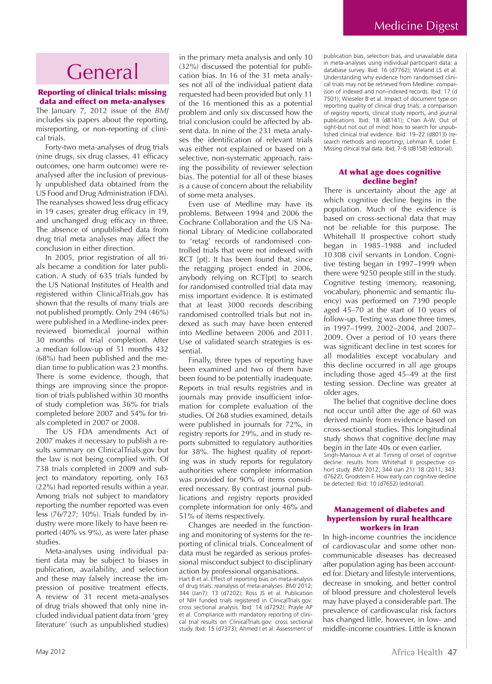### General

### Reporting of clinical trials: missing data and effect on meta-analyses

The January 7, 2012 issue of the *BMJ*  includes six papers about the reporting, misreporting, or non-reporting of clinical trials.

Forty-two meta-analyses of drug trials (nine drugs, six drug classes, 41 efficacy outcomes, one harm outcome) were reanalysed after the inclusion of previously unpublished data obtained from the US Food and Drug Administration (FDA). The reanalyses showed less drug efficacy in 19 cases, greater drug efficacy in 19, and unchanged drug efficacy in three. The absence of unpublished data from drug trial meta analyses may affect the conclusion in either direction.

In 2005, prior registration of all trials became a condition for later publication. A study of 635 trials funded by the US National Institutes of Health and registered within ClinicalTrials.gov has shown that the results of many trials are not published promptly. Only 294 (46%) were published in a Medline-index peerreviewed biomedical journal within 30 months of trial completion. After a median follow-up of 51 months 432 (68%) had been published and the median time to publication was 23 months. There is some evidence, though, that things are improving since the proportion of trials published within 30 months of study completion was 36% for trials completed before 2007 and 54% for trials completed in 2007 or 2008.

The US FDA amendments Act of 2007 makes it necessary to publish a results summary on ClinicalTrials.gov but the law is not being complied with. Of 738 trials completed in 2009 and subject to mandatory reporting, only 163 (22%) had reported results within a year. Among trials not subject to mandatory reporting the number reported was even less (76/727; 10%). Trials funded by industry were more likely to have been reported (40% vs 9%), as were later phase studies.

Meta-analyses using individual patient data may be subject to biases in publication, availability, and selection and these may falsely increase the impression of positive treatment effects. A review of 31 recent meta-analyses of drug trials showed that only nine included individual patient data from 'grey literature' (such as unpublished studies)

in the primary meta analysis and only 10 (32%) discussed the potential for publication bias. In 16 of the 31 meta analyses not all of the individual patient data requested had been provided but only 11 of the 16 mentioned this as a potential problem and only six discussed how the trial conclusion could be affected by absent data. In nine of the 231 meta analyses the identification of relevant trials was either not explained or based on a selective, non-systematic approach, raising the possibility of reviewer selection bias. The potential for all of these biases is a cause of concern about the reliability of some meta analyses.

Even use of Medline may have its problems. Between 1994 and 2006 the Cochrane Collaboration and the US National Library of Medicine collaborated to 'retag' records of randomised controlled trials that were not indexed with RCT [pt]. It has been found that, since the retagging project ended in 2006, anybody relying on RCT[pt] to search for randomised controlled trial data may miss important evidence. It is estimated that at least 3000 records describing randomised controlled trials but not indexed as such may have been entered into Medline between 2006 and 2011. Use of validated search strategies is essential.

Finally, three types of reporting have been examined and two of them have been found to be potentially inadequate. Reports in trial results registries and in journals may provide insufficient information for complete evaluation of the studies. Of 268 studies examined, details were published in journals for 72%, in registry reports for 29%, and in study reports submitted to regulatory authorities for 38%. The highest quality of reporting was in study reports for regulatory authorities where complete information was provided for 90% of items considered necessary. By contrast journal publications and registry reports provided complete information for only 46% and 51% of items respectively.

Changes are needed in the functioning and monitoring of systems for the reporting of clinical trials. Concealment of data must be regarded as serious professional misconduct subject to disciplinary action by professional organisations.

Hart B et al. Effect of reporting bias on meta-analysis of drug trials: reanalysis of meta-analyses. *BMJ* 2012; 344 (Jan7): 13 (d7202); Ross JS et al. Publication of NIH funded trials registered in ClinicalTrials.gov: cross sectional analysis. Ibid: 14 (d7292); Prayle AP et al. Compliance with mandatory reporting of clinical trial results on ClinicalTrials.gov: cross sectional study. Ibid: 15 (d7373); Ahmed I et al. Assessment of

publication bias, selection bias, and unavailable data in meta-analyses using individual participant data: a database survey. Ibid: 16 (d7762); Wieland LS et al. Understanding why evidence from randomised clinical trials may not be retrieved from Medline: comparison of indexed and non-indexed records. Ibid: 17 (d 7501); Wieseler B et al. Impact of document type on reporting quality of clinical drug trials: a comparison of registry reports, clinical study reports, and journal publications. Ibid: 18 (d8141); Chan A-W. Out of sight-but not out of mind: how to search for unpublished clinical trial evidence. Ibid: 19–22 (d8013) (research methods and reporting); Lehman R, Loder E. Missing clinical trial data. Ibid; 7–8 (d8158) (editorial).

### At what age does cognitive decline begin?

There is uncertainty about the age at which cognitive decline begins in the population. Much of the evidence is based on cross-sectional data that may not be reliable for this purpose. The Whitehall II prospective cohort study began in 1985–1988 and included 10308 civil servants in London. Cognitive testing began in 1997–1999 when there were 9250 people still in the study. Cognitive testing (memory, reasoning, vocabulary, phonemic and semantic fluency) was performed on 7390 people aged 45–70 at the start of 10 years of follow-up. Testing was done three times, in 1997–1999, 2002–2004, and 2007– 2009. Over a period of 10 years there was significant decline in test scores for all modalities except vocabulary and this decline occurred in all age groups including those aged 45–49 at the first testing session. Decline was greater at older ages.

The belief that cognitive decline does not occur until after the age of 60 was derived mainly from evidence based on cross-sectional studies. This longitudinal study shows that cognitive decline may begin in the late 40s or even earlier. Singh-Manoux A et al. Timing of onset of cognitive decline: results from Whitehall II prospective cohort study. *BMJ* 2012; 344 (Jan 21): 18 (2011; 343: d7622); Grodstein F. How early can cognitive decline be detected: Ibid: 10 (d7652) (editorial).

### Management of diabetes and hypertension by rural healthcare workers in Iran

In high-income countries the incidence of cardiovascular and some other noncommunicable diseases has decreased after population aging has been accounted for. Dietary and lifestyle interventions, decrease in smoking, and better control of blood pressure and cholesterol levels may have played a considerable part. The prevalence of cardiovascular risk factors has changed little, however, in low- and middle-income countries. Little is known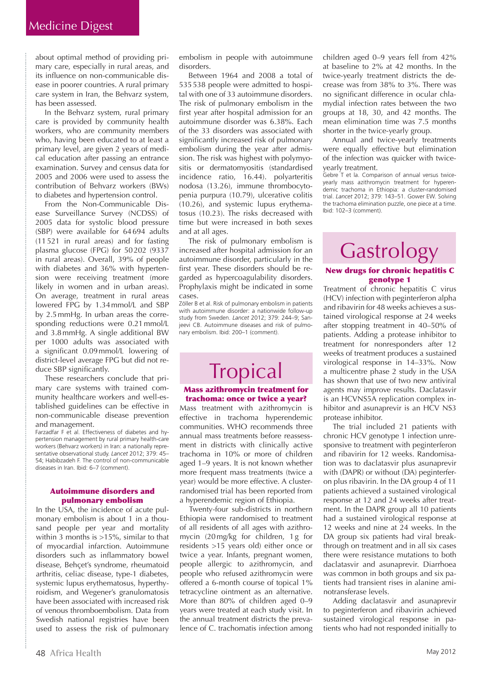about optimal method of providing primary care, especially in rural areas, and its influence on non-communicable disease in poorer countries. A rural primary care system in Iran, the Behvarz system, has been assessed.

In the Behvarz system, rural primary care is provided by community health workers, who are community members who, having been educated to at least a primary level, are given 2 years of medical education after passing an entrance examination. Survey and census data for 2005 and 2006 were used to assess the contribution of Behvarz workers (BWs) to diabetes and hypertension control.

From the Non-Communicable Disease Surveillance Survey (NCDSS) of 2005 data for systolic blood pressure (SBP) were available for 64694 adults (11521 in rural areas) and for fasting plasma glucose (FPG) for 50202 (9337 in rural areas). Overall, 39% of people with diabetes and 36% with hypertension were receiving treatment (more likely in women and in urban areas). On average, treatment in rural areas lowered FPG by 1.34mmol/L and SBP by 2.5mmHg. In urban areas the corresponding reductions were 0.21mmol/L and 3.8mmHg. A single additional BW per 1000 adults was associated with a significant 0.09mmol/L lowering of district-level average FPG but did not reduce SBP significantly.

These researchers conclude that primary care systems with trained community healthcare workers and well-established guidelines can be effective in non-communicable disease prevention and management.

Farzadfar F et al. Effectiveness of diabetes and hypertension management by rural primary health-care workers (Behvarz workers) in Iran: a nationally representative observational study. *Lancet* 2012; 379: 45– 54; Habibzadeh F. The control of non-communicable diseases in Iran. Ibid: 6–7 (comment).

### Autoimmune disorders and pulmonary embolism

In the USA, the incidence of acute pulmonary embolism is about 1 in a thousand people per year and mortality within 3 months is >15%, similar to that of myocardial infarction. Autoimmune disorders such as inflammatory bowel disease, Behçet's syndrome, rheumatoid arthritis, celiac disease, type-1 diabetes, systemic lupus erythematosus, hyperthyroidism, and Wegener's granulomatosis have been associated with increased risk of venous thromboembolism. Data from Swedish national registries have been used to assess the risk of pulmonary

embolism in people with autoimmune disorders.

Between 1964 and 2008 a total of 535538 people were admitted to hospital with one of 33 autoimmune disorders. The risk of pulmonary embolism in the first year after hospital admission for an autoimmune disorder was 6.38%. Each of the 33 disorders was associated with significantly increased risk of pulmonary embolism during the year after admission. The risk was highest with polymyositis or dermatomyositis (standardised incidence ratio, 16.44). polyarteritis nodosa (13.26), immune thrombocytopenia purpura (10.79), ulcerative colitis (10.26), and systemic lupus erythematosus (10.23). The risks decreased with time but were increased in both sexes and at all ages.

The risk of pulmonary embolism is increased after hospital admission for an autoimmune disorder, particularly in the first year. These disorders should be regarded as hypercoagulability disorders. Prophylaxis might be indicated in some cases.

Zöller B et al. Risk of pulmonary embolism in patients with autoimmune disorder: a nationwide follow-up study from Sweden. *Lancet* 2012; 379: 244–9; Sanjeevi CB. Autoimmune diseases and risk of pulmonary embolism. Ibid: 200–1 (comment).

### Tropical

### Mass azithromycin treatment for trachoma: once or twice a year?

Mass treatment with azithromycin is effective in trachoma hyperendemic communities. WHO recommends three annual mass treatments before reassessment in districts with clinically active trachoma in 10% or more of children aged 1–9 years. It is not known whether more frequent mass treatments (twice a year) would be more effective. A clusterrandomised trial has been reported from a hyperendemic region of Ethiopia.

Twenty-four sub-districts in northern Ethiopia were randomised to treatment of all residents of all ages with azithromycin (20mg/kg for children, 1g for residents >15 years old) either once or twice a year. Infants, pregnant women, people allergic to azithromycin, and people who refused azithromycin were offered a 6-month course of topical 1% tetracycline ointment as an alternative. More than 80% of children aged 0–9 years were treated at each study visit. In the annual treatment districts the prevalence of C. trachomatis infection among children aged 0–9 years fell from 42% at baseline to 2% at 42 months. In the twice-yearly treatment districts the decrease was from 38% to 3%. There was no significant difference in ocular chlamydial infection rates between the two groups at 18, 30, and 42 months. The mean elimination time was 7.5 months shorter in the twice-yearly group.

Annual and twice-yearly treatments were equally effective but elimination of the infection was quicker with twiceyearly treatment.

Gebre T et la. Comparison of annual versus twiceyearly mass azithromycin treatment for hyperendemic trachoma in Ethiopia: a cluster-randomised trial. *Lancet* 2012; 379: 143–51. Gower EW. Solving the trachoma elimination puzzle, one piece at a time. Ibid: 102–3 (comment).

## **Gastrology**

### New drugs for chronic hepatitis C genotype 1

Treatment of chronic hepatitis C virus (HCV) infection with peginterferon alpha and ribavirin for 48 weeks achieves a sustained virological response at 24 weeks after stopping treatment in 40–50% of patients. Adding a protease inhibitor to treatment for nonresponders after 12 weeks of treatment produces a sustained virological response in 14–33%. Now a multicentre phase 2 study in the USA has shown that use of two new antiviral agents may improve results. Daclatasvir is an HCVNS5A replication complex inhibitor and asunaprevir is an HCV NS3 protease inhibitor.

The trial included 21 patients with chronic HCV genotype 1 infection unresponsive to treatment with peginterferon and ribavirin for 12 weeks. Randomisation was to daclatasvir plus asunaprevir with (DAPR) or without (DA) peginterferon plus ribavirin. In the DA group 4 of 11 patients achieved a sustained virological response at 12 and 24 weeks after treatment. In the DAPR group all 10 patients had a sustained virological response at 12 weeks and nine at 24 weeks. In the DA group six patients had viral breakthrough on treatment and in all six cases there were resistance mutations to both daclatasvir and asunaprevir. Diarrhoea was common in both groups and six patients had transient rises in alanine aminotransferase levels.

Adding daclatasvir and asunaprevir to peginterferon and ribavirin achieved sustained virological response in patients who had not responded initially to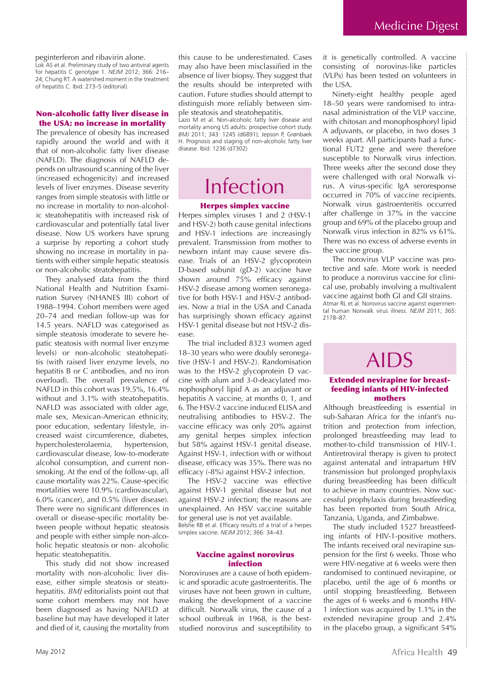peginterferon and ribavirin alone.

Lok AS et al. Preliminary study of two antiviral agents for hepatitis C genotype 1. *NEJM* 2012; 366: 216– 24; Chung RT. A watershed moment in the treatment of hepatitis C. Ibid: 273–5 (editorial).

### Non-alcoholic fatty liver disease in the USA: no increase in mortality

The prevalence of obesity has increased rapidly around the world and with it that of non-alcoholic fatty liver disease (NAFLD). The diagnosis of NAFLD depends on ultrasound scanning of the liver (increased echogenicity) and increased levels of liver enzymes. Disease severity ranges from simple steatosis with little or no increase in mortality to non-alcoholic steatohepatitis with increased risk of cardiovascular and potentially fatal liver disease. Now US workers have sprung a surprise by reporting a cohort study showing no increase in mortality in patients with either simple hepatic steatosis or non-alcoholic steatohepatitis.

They analysed data from the third National Health and Nutrition Examination Survey (NHANES III) cohort of 1988–1994. Cohort members were aged 20–74 and median follow-up was for 14.5 years. NAFLD was categorised as simple steatosis (moderate to severe hepatic steatosis with normal liver enzyme levels) or non-alcoholic steatohepatitis (with raised liver enzyme levels, no hepatitis B or C antibodies, and no iron overload). The overall prevalence of NAFLD in this cohort was 19.5%, 16.4% without and 3.1% with steatohepatitis. NAFLD was associated with older age, male sex, Mexican-American ethnicity, poor education, sedentary lifestyle, increased waist circumference, diabetes, hypercholesterolaemia, hypertension, cardiovascular disease, low-to-moderate alcohol consumption, and current nonsmoking. At the end of the follow-up, all cause mortality was 22%. Cause-specific mortalities were 10.9% (cardiovascular), 6.0% (cancer), and 0.5% (liver disease). There were no significant differences in overall or disease-specific mortality between people without hepatic steatosis and people with either simple non-alcoholic hepatic steatosis or non- alcoholic hepatic steatohepatitis.

This study did not show increased mortality with non-alcoholic liver disease, either simple steatosis or steatohepatitis. *BMJ* editorialists point out that some cohort members may not have been diagnosed as having NAFLD at baseline but may have developed it later and died of it, causing the mortality from

this cause to be underestimated. Cases may also have been misclassified in the absence of liver biopsy. They suggest that the results should be interpreted with caution. Future studies should attempt to distinguish more reliably between simple steatosis and steatohepatitis.

Lazo M et al. Non-alcoholic fatty liver disease and mortality among US adults: prospective cohort study. *BMJ* 2011; 343: 1245 (d6891); Jepson P, Grønbaek H. Prognosis and staging of non-alcoholic fatty liver disease. Ibid: 1236 (d7302)

### Infection

### Herpes simplex vaccine

Herpes simplex viruses 1 and 2 (HSV-1 and HSV-2) both cause genital infections and HSV-1 infections are increasingly prevalent. Transmission from mother to newborn infant may cause severe disease. Trials of an HSV-2 glycoprotein D-based subunit (gD-2) vaccine have shown around 75% efficacy against HSV-2 disease among women seronegative for both HSV-1 and HSV-2 antibodies. Now a trial in the USA and Canada has surprisingly shown efficacy against HSV-1 genital disease but not HSV-2 disease.

The trial included 8323 women aged 18–30 years who were doubly seronegative (HSV-1 and HSV-2). Randomisation was to the HSV-2 glycoprotein D vaccine with alum and 3-0-deacylated monophosphoryl lipid A as an adjuvant or hepatitis A vaccine, at months 0, 1, and 6. The HSV-2 vaccine induced ELISA and neutralising antibodies to HSV-2. The vaccine efficacy was only 20% against any genital herpes simplex infection but 58% against HSV-1 genital disease. Against HSV-1, infection with or without disease, efficacy was 35%. There was no efficacy (-8%) against HSV-2 infection.

The HSV-2 vaccine was effective against HSV-1 genital disease but not against HSV-2 infection; the reasons are unexplained. An HSV vaccine suitable for general use is not yet available. Belshe RB et al. Efficacy results of a trial of a herpes simplex vaccine. *NEJM* 2012; 366: 34–43.

### Vaccine against norovirus infection

Noroviruses are a cause of both epidemic and sporadic acute gastroenteritis. The viruses have not been grown in culture, making the development of a vaccine difficult. Norwalk virus, the cause of a school outbreak in 1968, is the beststudied norovirus and susceptibility to it is genetically controlled. A vaccine consisting of norovirus-like particles (VLPs) has been tested on volunteers in the USA.

Ninety-eight healthy people aged 18–50 years were randomised to intranasal administration of the VLP vaccine, with chitosan and monophosphoryl lipid A adjuvants, or placebo, in two doses 3 weeks apart. All participants had a functional FUT2 gene and were therefore susceptible to Norwalk virus infection. Three weeks after the second dose they were challenged with oral Norwalk virus. A virus-specific IgA seroresponse occurred in 70% of vaccine recipients. Norwalk virus gastroenteritis occurred after challenge in 37% in the vaccine group and 69% of the placebo group and Norwalk virus infection in 82% vs 61%. There was no excess of adverse events in the vaccine group.

The norovirus VLP vaccine was protective and safe. More work is needed to produce a norovirus vaccine for clinical use, probably involving a multivalent vaccine against both GI and GII strains. Atmar RL et al. Norovirus vaccine against experimental human Norwalk virus illness. *NEJM* 2011; 365: 2178–87.

### AIDS

#### Extended nevirapine for breastfeeding infants of HIV-infected mothers

Although breastfeeding is essential in sub-Saharan Africa for the infant's nutrition and protection from infection, prolonged breastfeeding may lead to mother-to-child transmission of HIV-1. Antiretroviral therapy is given to protect against antenatal and intrapartum HIV transmission but prolonged prophylaxis during breastfeeding has been difficult to achieve in many countries. Now successful prophylaxis during breastfeeding has been reported from South Africa, Tanzania, Uganda, and Zimbabwe.

The study included 1527 breastfeeding infants of HIV-1-positive mothers. The infants received oral nevirapine suspension for the first 6 weeks. Those who were HIV-negative at 6 weeks were then randomised to continued nevirapine, or placebo, until the age of 6 months or until stopping breastfeeding. Between the ages of 6 weeks and 6 months HIV-1 infection was acquired by 1.1% in the extended nevirapine group and 2.4% in the placebo group, a significant 54%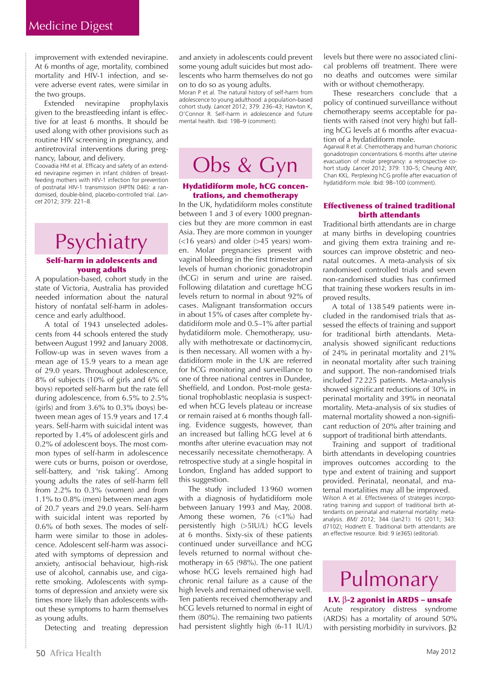improvement with extended nevirapine. At 6 months of age, mortality, combined mortality and HIV-1 infection, and severe adverse event rates, were similar in the two groups.<br>Extended

nevirapine prophylaxis given to the breastfeeding infant is effective for at least 6 months. It should be used along with other provisions such as routine HIV screening in pregnancy, and antiretroviral interventions during pregnancy, labour, and delivery.

Coovadia HM et al. Efficacy and safety of an extended nevirapine regimen in infant children of breastfeeding mothers with HIV-1 infection for prevention of postnatal HIV-1 transmission (HPTN 046): a randomised, double-blind, placebo-controlled trial. *Lancet* 2012; 379: 221–8.

## Psychiatry

### Self-harm in adolescents and young adults

A population-based, cohort study in the state of Victoria, Australia has provided needed information about the natural history of nonfatal self-harm in adolescence and early adulthood.

A total of 1943 unselected adolescents from 44 schools entered the study between August 1992 and January 2008. Follow-up was in seven waves from a mean age of 15.9 years to a mean age of 29.0 years. Throughout adolescence, 8% of subjects (10% of girls and 6% of boys) reported self-harm but the rate fell during adolescence, from 6.5% to 2.5% (girls) and from 3.6% to 0.3% (boys) between mean ages of 15.9 years and 17.4 years. Self-harm with suicidal intent was reported by 1.4% of adolescent girls and 0.2% of adolescent boys. The most common types of self-harm in adolescence were cuts or burns, poison or overdose, self-battery, and 'risk taking'. Among young adults the rates of self-harm fell from 2.2% to 0.3% (women) and from 1.1% to 0.8% (men) between mean ages of 20.7 years and 29.0 years. Self-harm with suicidal intent was reported by 0.6% of both sexes. The modes of selfharm were similar to those in adolescence. Adolescent self-harm was associated with symptoms of depression and anxiety, antisocial behaviour, high-risk use of alcohol, cannabis use, and cigarette smoking. Adolescents with symptoms of depression and anxiety were six times more likely than adolescents without these symptoms to harm themselves as young adults.

Detecting and treating depression

and anxiety in adolescents could prevent some young adult suicides but most adolescents who harm themselves do not go on to do so as young adults.

Moran P et al. The natural history of self-harm from adolescence to young adulthood: a population-based cohort study. *Lancet* 2012; 379: 236–43; Hawton K, O'Connor R. Self-harm in adolescence and future mental health. Ibid: 198–9 (comment).

### Obs & Gyn

### Hydatidiform mole, hCG concentrations, and chemotherapy

In the UK, hydatidiform moles constitute between 1 and 3 of every 1000 pregnancies but they are more common in east Asia. They are more common in younger  $(<16$  years) and older  $>(>45$  years) women. Molar pregnancies present with vaginal bleeding in the first trimester and levels of human chorionic gonadotropin (hCG) in serum and urine are raised. Following dilatation and curettage hCG levels return to normal in about 92% of cases. Malignant transformation occurs in about 15% of cases after complete hydatidiform mole and 0.5–1% after partial hydatidiform mole. Chemotherapy, usually with methotrexate or dactinomycin, is then necessary. All women with a hydatidiform mole in the UK are referred for hCG monitoring and surveillance to one of three national centres in Dundee, Sheffield, and London. Post-mole gestational trophoblastic neoplasia is suspected when hCG levels plateau or increase or remain raised at 6 months though falling. Evidence suggests, however, than an increased but falling hCG level at 6 months after uterine evacuation may not necessarily necessitate chemotherapy. A retrospective study at a single hospital in London, England has added support to this suggestion.

The study included 13960 women with a diagnosis of hydatidiform mole between January 1993 and May, 2008. Among these women, 76 (<1%) had persistently high (>5IU/L) hCG levels at 6 months. Sixty-six of these patients continued under surveillance and hCG levels returned to normal without chemotherapy in 65 (98%). The one patient whose hCG levels remained high had chronic renal failure as a cause of the high levels and remained otherwise well. Ten patients received chemotherapy and hCG levels returned to normal in eight of them (80%). The remaining two patients had persistent slightly high (6-11 IU/L)

levels but there were no associated clinical problems off treatment. There were no deaths and outcomes were similar with or without chemotherapy.

These researchers conclude that a policy of continued surveillance without chemotherapy seems acceptable for patients with raised (not very high) but falling hCG levels at 6 months after evacuation of a hydatidiform mole.

Agarwal R et al. Chemotherapy and human chorionic gonadotropin concentrations 6 months after uterine evacuation of molar pregnancy: a retrospective cohort study. *Lancet* 2012; 379: 130–5; Cheung ANY, Chan KKL. Perplexing hCG profile after evacuation of hydatidiform mole. Ibid: 98–100 (comment).

### Effectiveness of trained traditional birth attendants

Traditional birth attendants are in charge at many births in developing countries and giving them extra training and resources can improve obstetric and neonatal outcomes. A meta-analysis of six randomised controlled trials and seven non-randomised studies has confirmed that training these workers results in improved results.

A total of 138549 patients were included in the randomised trials that assessed the effects of training and support for traditional birth attendants. Metaanalysis showed significant reductions of 24% in perinatal mortality and 21% in neonatal mortality after such training and support. The non-randomised trials included 72225 patients. Meta-analysis showed significant reductions of 30% in perinatal mortality and 39% in neonatal mortality. Meta-analysis of six studies of maternal mortality showed a non-significant reduction of 20% after training and support of traditional birth attendants.

Training and support of traditional birth attendants in developing countries improves outcomes according to the type and extent of training and support provided. Perinatal, neonatal, and maternal mortalities may all be improved. Wilson A et al. Effectiveness of strategies incorporating training and support of traditional birth attendants on perinatal and maternal mortality: metaanalysis. *BMJ* 2012; 344 (Jan21): 16 (2011; 343: d7102); Hodnett E. Traditional birth attendants are an effective resource. Ibid: 9 (e365) (editorial).

### Pulmonary

### I.V. β-2 agonist in ARDS – unsafe

Acute respiratory distress syndrome (ARDS) has a mortality of around 50% with persisting morbidity in survivors. β2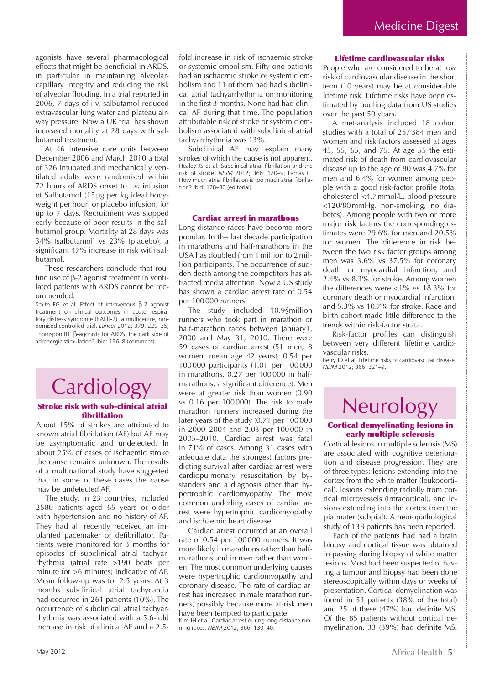agonists have several pharmacological effects that might be beneficial in ARDS, in particular in maintaining alveolarcapillary integrity and reducing the risk of alveolar flooding. In a trial reported in 2006, 7 days of i.v. salbutamol reduced extravascular lung water and plateau airway pressure. Now a UK trial has shown increased mortality at 28 days with salbutamol treatment.

At 46 intensive care units between December 2006 and March 2010 a total of 326 intubated and mechanically ventilated adults were randomised within 72 hours of ARDS onset to i.v. infusion of Salbutamol (15μg per kg ideal bodyweight per hour) or placebo infusion, for up to 7 days. Recruitment was stopped early because of poor results in the salbutamol group. Mortality at 28 days was 34% (salbutamol) vs 23% (placebo), a significant 47% increase in risk with salbutamol.

These researchers conclude that routine use of β-2 agonist treatment in ventilated patients with ARDS cannot be recommended.

Smith FG et al. Effect of intravenous  $β-2$  agonist treatment on clinical outcomes in acute respiratory distress syndrome (BALTI-2): a multicentre, randomised controlled trial. *Lancet* 2012; 379: 229–35; Thomspon BT. β-agonists for ARDS: the dark side of adrenergic stimulation? Ibid: 196–8 (comment).

### Stroke risk with sub-clinical atrial fibrillation **Cardiology**

About 15% of strokes are attributed to known atrial fibrillation (AF) but AF may be asymptomatic and undetected. In about 25% of cases of ischaemic stroke the cause remains unknown. The results of a multinational study have suggested that in some of these cases the cause may be undetected AF.

The study, in 23 countries, included 2580 patients aged 65 years or older with hypertension and no history of AF. They had all recently received an implanted pacemaker or defibrillator. Patients were monitored for 3 months for episodes of subclinical atrial tachyarrhythmia (atrial rate >190 beats per minute for >6 minutes) indicative of AF. Mean follow-up was for 2.5 years. At 3 months subclinical atrial tachycardia had occurred in 261 patients (10%). The occurrence of subclinical atrial tachyarrhythmia was associated with a 5.6-fold increase in risk of clinical AF and a 2.5fold increase in risk of ischaemic stroke or systemic embolism. Fifty-one patients had an ischaemic stroke or systemic embolism and 11 of them had had subclinical atrial tachyarrhythmia on monitoring in the first 3 months. None had had clinical AF during that time. The population attributable risk of stroke or systemic embolism associated with subclinical atrial tachyarrhythmia was 13%.

Subclinical AF may explain many strokes of which the cause is not apparent. Healey JS et al. Subclinical atrial fibrillation and the risk of stroke. *NEJM* 2012; 366: 120–9; Lamas G. How much atrial fibrillation is too much atrial fibrillation? Ibid: 178–80 (editorial).

#### Cardiac arrest in marathons

Long-distance races have become more popular. In the last decade participation in marathons and half-marathons in the USA has doubled from 1million to 2million participants. The occurrence of sudden death among the competitors has attracted media attention. Now a US study has shown a cardiac arrest rate of 0.54 per 100000 runners.

The study included 10.9§million runners who took part in marathon or half-marathon races between January1. 2000 and May 31, 2010. There were 59 cases of cardiac arrest (51 men, 8 women, mean age 42 years), 0.54 per 100000 participants (1.01 per 100000 in marathons, 0.27 per 100000 in halfmarathons, a significant difference). Men were at greater risk than women (0.90 vs 0.16 per 100000). The risk to male marathon runners increased during the later years of the study (0.71 per 100000 in 2000–2004 and 2.03 per 100000 in 2005–2010. Cardiac arrest was fatal in 71% of cases. Among 31 cases with adequate data the strongest factors predicting survival after cardiac arrest were cardiopulmonary resuscitation by bystanders and a diagnosis other than hypertrophic cardiomyopathy. The most common underling cases of cardiac arrest were hypertrophic cardiomyopathy and ischaemic heart disease.

Cardiac arrest occurred at an overall rate of 0.54 per 100000 runners. It was more likely in marathons rather than halfmarathons and in men rather than women. The most common underlying causes were hypertrophic cardiomyopathy and coronary disease. The rate of cardiac arrest has increased in male marathon runners, possibly because more at-risk men have been tempted to participate.

Kim JH et al. Cardiac arrest during long-distance running races. *NEJM* 2012; 366: 130–40.

### Lifetime cardiovascular risks

People who are considered to be at low risk of cardiovascular disease in the short term (10 years) may be at considerable lifetime risk. Lifetime risks have been estimated by pooling data from US studies over the past 50 years.

A met-analysis included 18 cohort studies with a total of 257384 men and women and risk factors assessed at ages 45, 55, 65, and 75. At age 55 the estimated risk of death from cardiovascular disease up to the age of 80 was 4.7% for men and 6.4% for women among people with a good risk-factor profile (total cholesterol <4.7mmol/L, blood pressure <120/80mmHg, non-smoking, no diabetes). Among people with two or more major risk factors the corresponding estimates were 29.6% for men and 20.5% for women. The difference in risk between the two risk factor groups among men was 3.6% vs 37.5% for coronary death or myocardial infarction, and 2.4% vs 8.3% for stroke. Among women the differences were <1% vs 18.3% for coronary death or myocardial infarction, and 5.3% vs 10.7% for stroke. Race and birth cohort made little difference to the trends within risk-factor strata.

Risk-factor profiles can distinguish between very different lifetime cardiovascular risks.

Berry JD et al. Lifetime risks of cardiovascular disease. *NEJM* 2012; 366: 321–9.

## Neurology

### Cortical demyelinating lesions in early multiple sclerosis

Cortical lesions in multiple sclerosis (MS) are associated with cognitive deterioration and disease progression. They are of three types: lesions extending into the cortex from the white matter (leukocortical), lesions extending radially from cortical microvessels (intracortical), and lesions extending into the cortex from the pia mater (subpial). A neuropathological study of 138 patients has been reported.

Each of the patients had had a brain biopsy and cortical tissue was obtained in passing during biopsy of white matter lesions. Most had been suspected of having a tumour and biopsy had been done stereoscopically within days or weeks of presentation. Cortical demyelination was found in 53 patients (38% of the total) and 25 of these (47%) had definite MS. Of the 85 patients without cortical demyelination, 33 (39%) had definite MS.